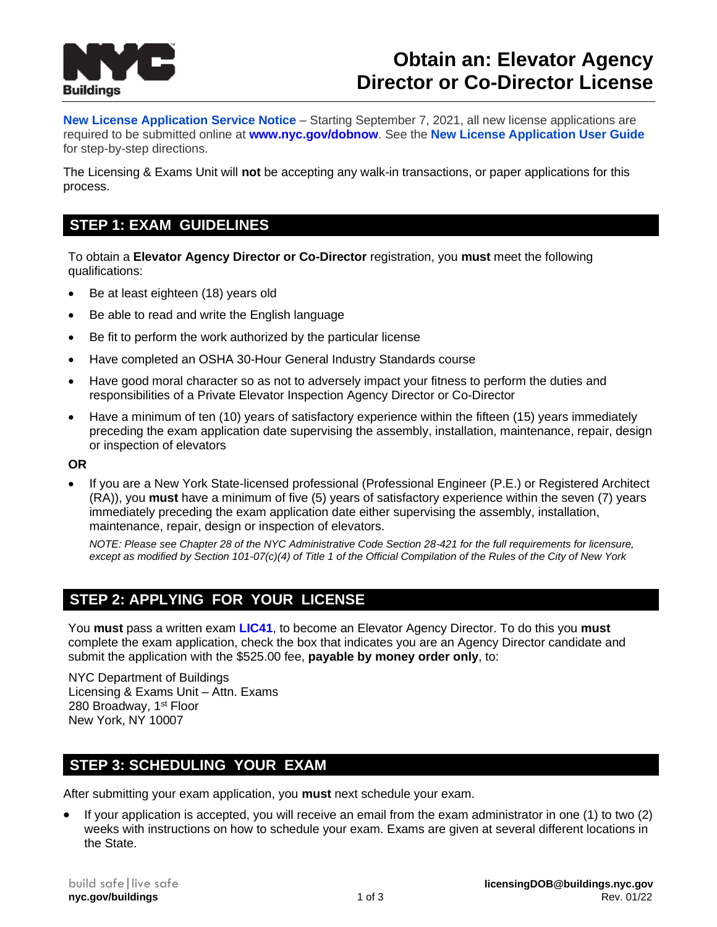

# **Obtain an: Elevator Agency Director or Co-Director License**

**[New License Application Service Notice](https://www1.nyc.gov/assets/buildings/pdf/dob_now_new_license_appl_sn.pdf)** – Starting September 7, 2021, all new license applications are required to be submitted online at **[www.nyc.gov/dobnow](http://www.nyc.gov/dobnow)**. See the **[New License Application User Guide](https://www1.nyc.gov/assets/buildings/pdf/dob_now_bis_options_new_license_step_by_step_guide.pdf)** for step-by-step directions.

The Licensing & Exams Unit will **not** be accepting any walk-in transactions, or paper applications for this process.

## **STEP 1: EXAM GUIDELINES**

To obtain a **Elevator Agency Director or Co-Director** registration, you **must** meet the following qualifications:

- Be at least eighteen (18) years old
- Be able to read and write the English language
- Be fit to perform the work authorized by the particular license
- Have completed an OSHA 30-Hour General Industry Standards course
- Have good moral character so as not to adversely impact your fitness to perform the duties and responsibilities of a Private Elevator Inspection Agency Director or Co-Director
- Have a minimum of ten (10) years of satisfactory experience within the fifteen (15) years immediately preceding the exam application date supervising the assembly, installation, maintenance, repair, design or inspection of elevators

#### **OR**

• If you are a New York State-licensed professional (Professional Engineer (P.E.) or Registered Architect (RA)), you **must** have a minimum of five (5) years of satisfactory experience within the seven (7) years immediately preceding the exam application date either supervising the assembly, installation, maintenance, repair, design or inspection of elevators.

*NOTE: Please see Chapter 28 of the NYC Administrative Code Section 28-421 for the full requirements for licensure, except as modified by Section 101-07(c)(4) of Title 1 of the Official Compilation of the Rules of the City of New York* 

# **STEP 2: APPLYING FOR YOUR LICENSE**

You **must** pass a written exam **[LIC41](http://www1.nyc.gov/assets/buildings/pdf/lic41.pdf)**, to become an Elevator Agency Director. To do this you **must** complete the exam application, check the box that indicates you are an Agency Director candidate and submit the application with the \$525.00 fee, **payable by money order only**, to:

NYC Department of Buildings Licensing & Exams Unit – Attn. Exams 280 Broadway, 1st Floor New York, NY 10007

## **STEP 3: SCHEDULING YOUR EXAM**

After submitting your exam application, you **must** next schedule your exam.

• If your application is accepted, you will receive an email from the exam administrator in one (1) to two (2) weeks with instructions on how to schedule your exam. Exams are given at several different locations in the State.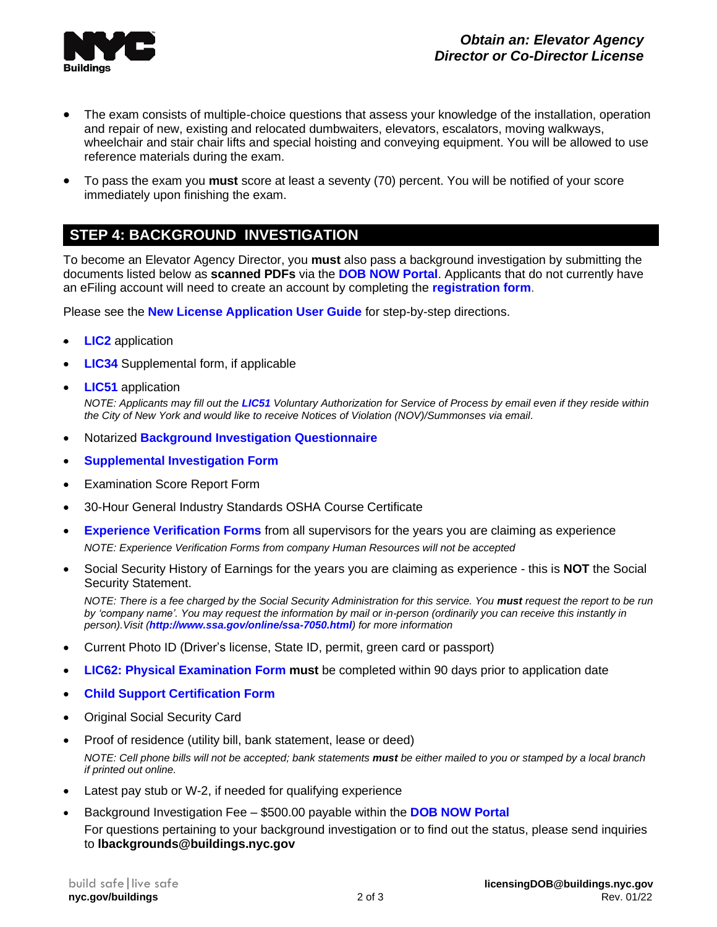

- The exam consists of multiple-choice questions that assess your knowledge of the installation, operation and repair of new, existing and relocated dumbwaiters, elevators, escalators, moving walkways, wheelchair and stair chair lifts and special hoisting and conveying equipment. You will be allowed to use reference materials during the exam.
- To pass the exam you **must** score at least a seventy (70) percent. You will be notified of your score immediately upon finishing the exam.

## **STEP 4: BACKGROUND INVESTIGATION**

To become an Elevator Agency Director, you **must** also pass a background investigation by submitting the documents listed below as **scanned PDFs** via the **[DOB NOW Portal](https://a810-dobnow.nyc.gov/publish/Index.html#!/)**. Applicants that do not currently have an eFiling account will need to create an account by completing the **[registration form](https://a810-efiling.nyc.gov/eRenewal/register.jsp)**.

Please see the **[New License Application User Guide](https://www1.nyc.gov/assets/buildings/pdf/dob_now_bis_options_new_license_step_by_step_guide.pdf)** for step-by-step directions.

- **[LIC2](http://www1.nyc.gov/assets/buildings/pdf/lic2.pdf)** application
- **[LIC34](http://www1.nyc.gov/assets/buildings/pdf/lic34.pdf)** Supplemental form, if applicable
- **[LIC51](http://www1.nyc.gov/assets/buildings/pdf/lic51.pdf)** application

*NOTE: Applicants may fill out the [LIC51](http://www1.nyc.gov/assets/buildings/pdf/lic51.pdf) Voluntary Authorization for Service of Process by email even if they reside within the City of New York and would like to receive Notices of Violation (NOV)/Summonses via email.*

- Notarized **[Background Investigation Questionnaire](http://www1.nyc.gov/assets/buildings/pdf/licensee.pdf)**
- **[Supplemental Investigation Form](http://www1.nyc.gov/assets/buildings/pdf/supplemental_exam_elevator_director_n_insp.pdf)**
- **Examination Score Report Form**
- 30-Hour General Industry Standards OSHA Course Certificate
- **[Experience Verification Forms](http://www1.nyc.gov/assets/buildings/pdf/paei_paed_employment_verification.pdf)** from all supervisors for the years you are claiming as experience *NOTE: Experience Verification Forms from company Human Resources will not be accepted*
- Social Security History of Earnings for the years you are claiming as experience this is **NOT** the Social Security Statement.

*NOTE: There is a fee charged by the Social Security Administration for this service. You must request the report to be run by 'company name'. You may request the information by mail or in-person (ordinarily you can receive this instantly in person).Visit (<http://www.ssa.gov/online/ssa-7050.html>) for more information*

- Current Photo ID (Driver's license, State ID, permit, green card or passport)
- **LIC62: [Physical Examination](http://www1.nyc.gov/assets/buildings/pdf/lic62.pdf) Form must** be completed within 90 days prior to application date
- **[Child Support Certification Form](http://www1.nyc.gov/assets/buildings/pdf/child_support_form.pdf)**
- Original Social Security Card
- Proof of residence (utility bill, bank statement, lease or deed) *NOTE: Cell phone bills will not be accepted; bank statements must be either mailed to you or stamped by a local branch if printed out online.*
- Latest pay stub or W-2, if needed for qualifying experience
- Background Investigation Fee \$500.00 payable within the **[DOB NOW Portal](https://a810-dobnow.nyc.gov/publish/Index.html#!/)**

For questions pertaining to your background investigation or to find out the status, please send inquiries to **lbackgrounds@buildings.nyc.gov**